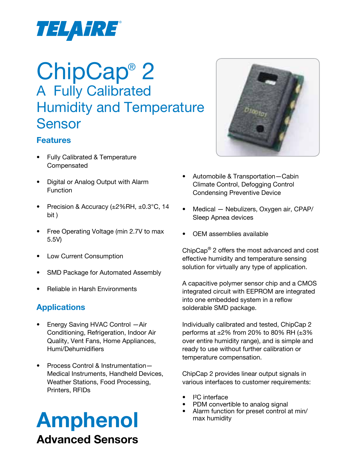

## ChipCap® 2 A Fully Calibrated Humidity and Temperature Sensor

#### **Features**

- **Fully Calibrated & Temperature** Compensated
- • Digital or Analog Output with Alarm Function
- Precision & Accuracy  $(\pm 2\%RH, \pm 0.3^{\circ}C, 14$ bit )
- Free Operating Voltage (min 2.7V to max 5.5V)
- Low Current Consumption
- SMD Package for Automated Assembly
- **Reliable in Harsh Environments**

#### **Applications**

- Energy Saving HVAC Control Air Conditioning, Refrigeration, Indoor Air Quality, Vent Fans, Home Appliances, Humi/Dehumidifiers
- Process Control & Instrumentation-Medical Instruments, Handheld Devices, Weather Stations, Food Processing, Printers, RFIDs

# Amphenol with a straining and the Maximumidity max humidity Advanced Sensors



- Automobile & Transportation-Cabin Climate Control, Defogging Control Condensing Preventive Device
- Medical Nebulizers, Oxygen air, CPAP/ Sleep Apnea devices
- OEM assemblies available

ChipCap® 2 offers the most advanced and cost effective humidity and temperature sensing solution for virtually any type of application.

A capacitive polymer sensor chip and a CMOS integrated circuit with EEPROM are integrated into one embedded system in a reflow solderable SMD package.

Individually calibrated and tested, ChipCap 2 performs at  $\pm 2\%$  from 20% to 80% RH ( $\pm 3\%$ ) over entire humidity range), and is simple and ready to use without further calibration or temperature compensation.

ChipCap 2 provides linear output signals in various interfaces to customer requirements:

- <sup>2</sup>C interface
- PDM convertible to analog signal
-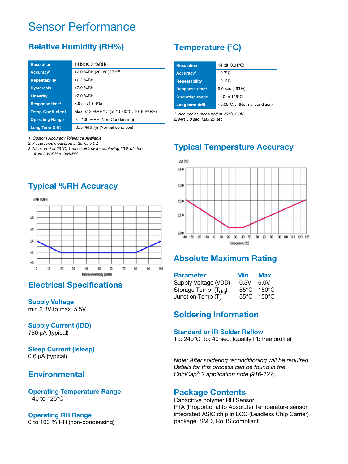## Sensor Performance

### **Relative Humidity (RH%)**

| <b>Resolution</b>          | 14 bit (0.01%RH)                       |
|----------------------------|----------------------------------------|
| Accuracy <sup>1</sup>      | $\pm 2.0$ %RH (20~80%RH) <sup>2</sup>  |
| <b>Repeatability</b>       | $±0.2$ %RH                             |
| <b>Hysteresis</b>          | $±2.0$ %RH                             |
| <b>Linearity</b>           | $< 2.0$ %RH                            |
| Response time <sup>3</sup> | 7.0 sec (63%)                          |
| <b>Temp Coefficient</b>    | Max 0.13 %RH/°C (at 10~60°C, 10~90%RH) |
| <b>Operating Range</b>     | $0 \sim 100$ %RH (Non-Condensing)      |
| <b>Long Term Drift</b>     | <0.5 %RH/yr (Normal condition)         |

*1. Custom Accuracy Tolerance Available*

*2. Accuracies measured at 25°C, 5.0V.*

*3. Measured at 25°C, 1m/sec airflow for achieving 63% of step from 33%RH to 90%RH*

## **Typical %RH Accuracy**



#### **Electrical Specifications**

**Supply Voltage** min 2.3V to max 5.5V

**Supply Current (IDD)** 750 µA (typical)

#### **Sleep Current (Isleep)** 0.6 µA (typical)

#### **Environmental**

**Operating Temperature Range** - 40 to 125°C

#### **Operating RH Range**

0 to 100 % RH (non-condensing)

## **Temperature (°C)**

| <b>Resolution</b>          | 14 bit (0.01°C)               |
|----------------------------|-------------------------------|
| Accuracy <sup>1</sup>      | $+0.3^{\circ}$ C              |
| <b>Repeatability</b>       | $\pm 0.1$ °C                  |
| Response time <sup>2</sup> | 5.0 sec (63%)                 |
| <b>Operating range</b>     | $-40$ to 125°C                |
| Long term drift            | <0.05°C/yr (Normal condition) |

*1. Accuracies measured at 25°C, 5.0V*

*2. Min 5.0 sec, Max 20 sec*

### **Typical Temperature Accuracy**



#### **Absolute Maximum Rating**

| <b>Parameter</b>                  | Min     | <b>Max</b>                       |
|-----------------------------------|---------|----------------------------------|
| Supply Voltage (VDD)              | $-0.3V$ | 6.0V                             |
| Storage Temp (T <sub>strg</sub> ) |         | $-55^{\circ}$ C 150 $^{\circ}$ C |
| Junction Temp (T <sub>i</sub> )   | -55°C   | 150 $^{\circ}$ C                 |

#### **Soldering Information**

#### **Standard or IR Solder Reflow**

Tp: 240°C, tp: 40 sec. (qualify Pb free profile)

*Note: After soldering reconditioning will be required. Details for this process can be found in the ChipCap® 2 application note (916-127).* 

#### **Package Contents**

Capacitive polymer RH Sensor, PTA (Proportional to Absolute) Temperature sensor integrated ASIC chip in LCC (Leadless Chip Carrier) package, SMD, RoHS compliant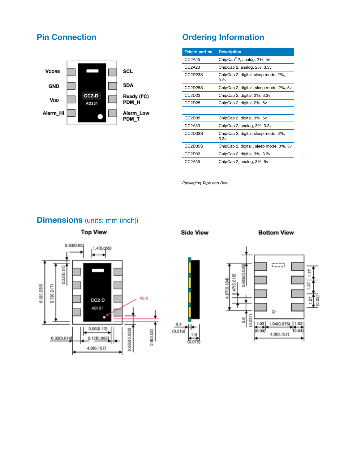#### **Pin Connection**



## **Ordering Information**

| Telaire part no.                | <b>Description</b>                          |
|---------------------------------|---------------------------------------------|
| CC2A25                          | ChipCap <sup>®</sup> 2, analog, $2\%$ , 5v  |
| CC2A23                          | ChipCap 2, analog, 2%, 3.3y                 |
| CC2D23S                         | ChipCap 2, digital, sleep mode, 2%,<br>3.3v |
| CC2D25S                         | ChipCap 2, digital, sleep mode, 2%, 5v      |
| CC2D23                          | ChipCap 2, digital, 2%, 3.3v                |
| CC <sub>2</sub> D <sub>25</sub> | ChipCap 2, digital, 2%, 5v                  |
|                                 |                                             |
| CC <sub>2</sub> D <sub>35</sub> | ChipCap 2, digital, 3%, 5v                  |
| CC2A33                          | ChipCap 2, analog, 3%, 3.3y                 |
| CC2D33S                         | ChipCap 2, digital, sleep mode, 3%,<br>3.3v |
| CC2D35S                         | ChipCap 2, digital, sleep mode, 3%, 5v      |
| CC <sub>2</sub> D <sub>33</sub> | ChipCap 2, digital, 3%, 3.3v                |
| CC2A35                          | ChipCap 2, analog, 3%, 5v                   |

*Packaging Tape and Reel*

#### **Dimensions** (units: mm (inch))



**Side View** 

 $0.4$ 

 $(0.016)$ 

 $1.9$ 

 $6.075$ 

**Bottom View**